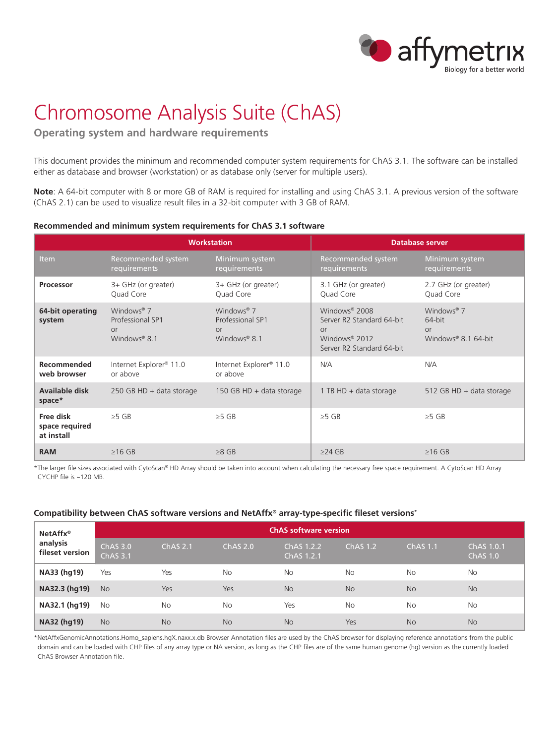

## Chromosome Analysis Suite (ChAS)

**Operating system and hardware requirements** 

This document provides the minimum and recommended computer system requirements for ChAS 3.1. The software can be installed either as database and browser (workstation) or as database only (server for multiple users).

**Note**: A 64-bit computer with 8 or more GB of RAM is required for installing and using ChAS 3.1. A previous version of the software (ChAS 2.1) can be used to visualize result files in a 32-bit computer with 3 GB of RAM.

## **Recommended and minimum system requirements for ChAS 3.1 software**

|                                           |                                                                                     | <b>Workstation</b>                                                                    | <b>Database server</b>                                                                                                        |                                                                      |  |
|-------------------------------------------|-------------------------------------------------------------------------------------|---------------------------------------------------------------------------------------|-------------------------------------------------------------------------------------------------------------------------------|----------------------------------------------------------------------|--|
| <b>Item</b>                               | Recommended system<br>requirements                                                  | Minimum system<br>requirements                                                        | Recommended system<br>requirements                                                                                            | Minimum system<br>requirements                                       |  |
| Processor                                 | 3+ GHz (or greater)<br>Quad Core                                                    | 3+ GHz (or greater)<br>Quad Core                                                      | 3.1 GHz (or greater)<br>Quad Core                                                                                             | 2.7 GHz (or greater)<br>Quad Core                                    |  |
| 64-bit operating<br>system                | Windows <sup>®</sup> 7<br>Professional SP1<br><b>or</b><br>Windows <sup>®</sup> 8.1 | Windows <sup>®</sup> $7$<br>Professional SP1<br><b>or</b><br>Windows <sup>®</sup> 8.1 | Windows <sup>®</sup> 2008<br>Server R2 Standard 64-bit<br><b>or</b><br>Windows <sup>®</sup> 2012<br>Server R2 Standard 64-bit | Windows <sup>®</sup> 7<br>64-bit<br><b>or</b><br>Windows® 8.1 64-bit |  |
| Recommended<br>web browser                | Internet Explorer <sup>®</sup> 11.0<br>or above                                     | Internet Explorer <sup>®</sup> 11.0<br>or above                                       | N/A                                                                                                                           | N/A                                                                  |  |
| Available disk<br>space*                  | 250 GB HD $+$ data storage                                                          | 150 GB HD + data storage                                                              | 1 TB HD $+$ data storage                                                                                                      | 512 GB HD + data storage                                             |  |
| Free disk<br>space required<br>at install | $>5$ GB                                                                             | $\geq$ 5 GB                                                                           | $\geq$ 5 GB                                                                                                                   | $\geq$ 5 GB                                                          |  |
| <b>RAM</b>                                | $>16$ GB                                                                            | $>8$ GB                                                                               | $>24$ GB                                                                                                                      | $>16$ GB                                                             |  |

\*The larger file sizes associated with CytoScan® HD Array should be taken into account when calculating the necessary free space requirement. A CytoScan HD Array CYCHP file is ~120 MB.

## **Compatibility between ChAS software versions and NetAffx® array-type-specific fileset versions\***

| NetAffx <sup>®</sup><br>analysis<br>fileset version | <b>ChAS</b> software version           |                 |                 |                          |            |                 |                               |  |  |
|-----------------------------------------------------|----------------------------------------|-----------------|-----------------|--------------------------|------------|-----------------|-------------------------------|--|--|
|                                                     | ChAS <sub>3.0</sub><br><b>ChAS 3.1</b> | <b>ChAS 2.1</b> | <b>ChAS 2.0</b> | ChAS 1.2.2<br>ChAS 1.2.1 | $ChAS$ 1.2 | <b>ChAS 1.1</b> | ChAS 1.0.1<br><b>ChAS 1.0</b> |  |  |
| NA33 (hg19)                                         | Yes                                    | Yes             | <b>No</b>       | <b>No</b>                | <b>No</b>  | <b>No</b>       | <b>No</b>                     |  |  |
| NA32.3 (hg19)                                       | <b>No</b>                              | Yes             | Yes             | <b>No</b>                | <b>No</b>  | <b>No</b>       | <b>No</b>                     |  |  |
| NA32.1 (hg19)                                       | <b>No</b>                              | <b>No</b>       | No              | Yes                      | <b>No</b>  | No              | <b>No</b>                     |  |  |
| NA32 (hg19)                                         | <b>No</b>                              | <b>No</b>       | <b>No</b>       | <b>No</b>                | Yes        | <b>No</b>       | <b>No</b>                     |  |  |

\*NetAffxGenomicAnnotations.Homo\_sapiens.hgX.naxx.x.db Browser Annotation files are used by the ChAS browser for displaying reference annotations from the public domain and can be loaded with CHP files of any array type or NA version, as long as the CHP files are of the same human genome (hg) version as the currently loaded ChAS Browser Annotation file.